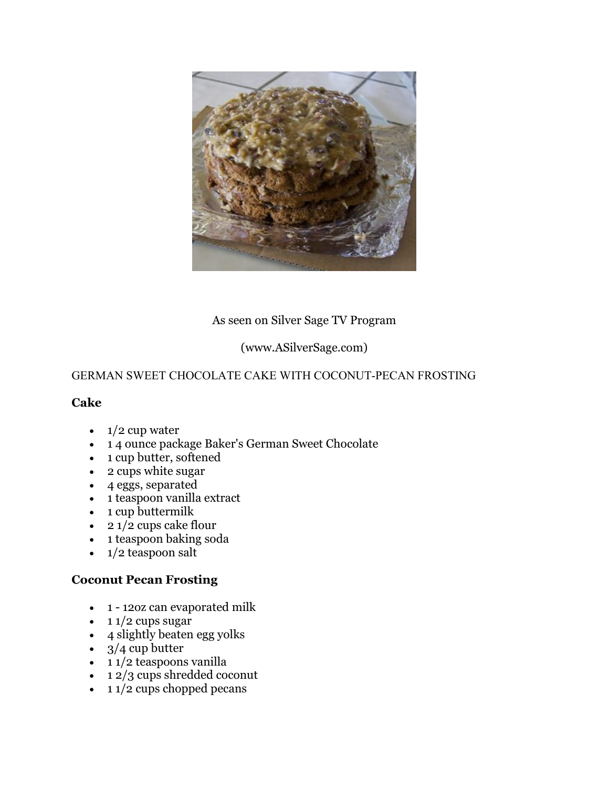

## As seen on Silver Sage TV Program

# (www.ASilverSage.com)

## GERMAN SWEET CHOCOLATE CAKE WITH COCONUT-PECAN FROSTING

#### **Cake**

- $\cdot$  1/2 cup water
- 14 ounce package Baker's German Sweet Chocolate
- $\bullet$  1 cup butter, softened
- 2 cups white sugar
- 4 eggs, separated
- 1 teaspoon vanilla extract
- 1 cup buttermilk
- 2  $1/2$  cups cake flour
- 1 teaspoon baking soda
- $\bullet$  1/2 teaspoon salt

#### **Coconut Pecan Frosting**

- 1 12oz can evaporated milk
- $\cdot$  1 1/2 cups sugar
- 4 slightly beaten egg yolks
- $\cdot$  3/4 cup butter
- $\cdot$  1 1/2 teaspoons vanilla
- $12/3$  cups shredded coconut
- $\cdot$  1 1/2 cups chopped pecans